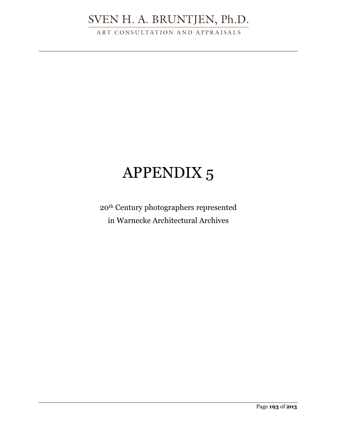ART CONSULTATION AND APPRAISALS

# APPENDIX 5

20th Century photographers represented in Warnecke Architectural Archives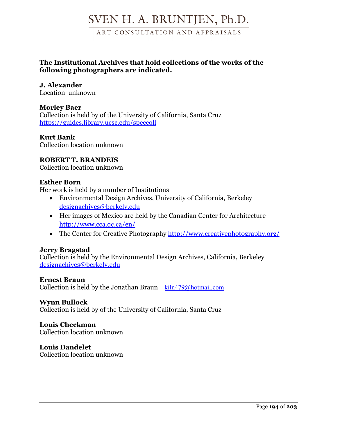ART CONSULTATION AND APPRAISALS

## **The Institutional Archives that hold collections of the works of the following photographers are indicated.**

## **J. Alexander**

Location unknown

## **Morley Baer**

Collection is held by of the University of California, Santa Cruz https://guides.library.ucsc.edu/speccoll

## **Kurt Bank**

Collection location unknown

## **ROBERT T. BRANDEIS**

Collection location unknown

### **Esther Born**

Her work is held by a number of Institutions

- Environmental Design Archives, University of California, Berkeley designachives@berkely.edu
- Her images of Mexico are held by the Canadian Center for Architecture http://www.cca.qc.ca/en/
- The Center for Creative Photography http://www.creativephotography.org/

## **Jerry Bragstad**

Collection is held by the Environmental Design Archives, California, Berkeley designachives@berkely.edu

## **Ernest Braun**

Collection is held by the Jonathan Braun  $\kappa$ iln479@hotmail.com

#### **Wynn Bullock**

Collection is held by of the University of California, Santa Cruz

## **Louis Checkman**

Collection location unknown

#### **Louis Dandelet** Collection location unknown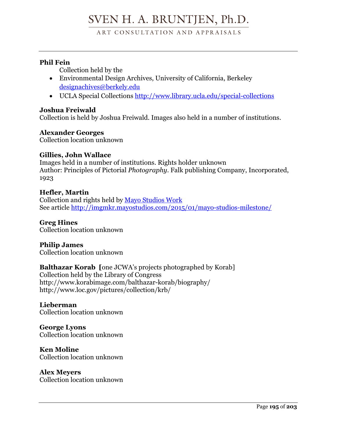ART CONSULTATION AND APPRAISALS

## **Phil Fein**

Collection held by the

- Environmental Design Archives, University of California, Berkeley designachives@berkely.edu
- UCLA Special Collections http://www.library.ucla.edu/special-collections

## **Joshua Freiwald**

Collection is held by Joshua Freiwald. Images also held in a number of institutions.

## **Alexander Georges**

Collection location unknown

## **Gillies, John Wallace**

Images held in a number of institutions. Rights holder unknown Author: Principles of Pictorial *Photography*. Falk publishing Company, Incorporated, 1923

## **Hefler, Martin**

Collection and rights held by Mayo Studios Work See article http://imgmkr.mayostudios.com/2015/01/mayo-studios-milestone/

#### **Greg Hines** Collection location unknown

**Philip James** Collection location unknown

**Balthazar Korab [**one JCWA's projects photographed by Korab]

Collection held by the Library of Congress http://www.korabimage.com/balthazar-korab/biography/ http://www.loc.gov/pictures/collection/krb/

### **Lieberman** Collection location unknown

**George Lyons** Collection location unknown

**Ken Moline** Collection location unknown

**Alex Meyers** Collection location unknown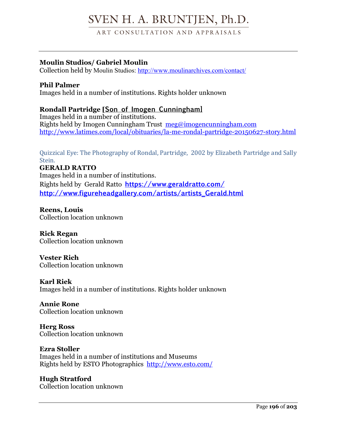ART CONSULTATION AND APPRAISALS

## **Moulin Studios/ Gabriel Moulin**

Collection held by Moulin Studios: http://www.moulinarchives.com/contact/

## **Phil Palmer**

Images held in a number of institutions. Rights holder unknown

## **Rondall Partridge [Son of Imogen Cunningham]**

Images held in a number of institutions. Rights held by Imogen Cunningham Trust meg@imogencunningham.com http://www.latimes.com/local/obituaries/la-me-rondal-partridge-20150627-story.html

Quizzical Eye: The Photography of Rondal, Partridge, 2002 by Elizabeth Partridge and Sally Stein. 

## **GERALD RATTO**

Images held in a number of institutions. Rights held by Gerald Ratto **https://www.geraldratto.com/ http://www.figureheadgallery.com/artists/artists\_Gerald.html**

**Reens, Louis** Collection location unknown

**Rick Regan** Collection location unknown

**Vester Rich** Collection location unknown

**Karl Riek** Images held in a number of institutions. Rights holder unknown

**Annie Rone** Collection location unknown

**Herg Ross** Collection location unknown

## **Ezra Stoller**

Images held in a number of institutions and Museums Rights held by ESTO Photographics http://www.esto.com/

**Hugh Stratford** Collection location unknown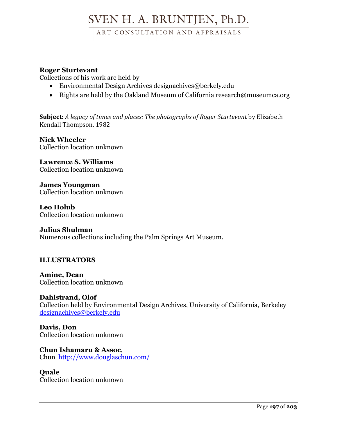ART CONSULTATION AND APPRAISALS

## **Roger Sturtevant**

Collections of his work are held by

- Environmental Design Archives designachives@berkely.edu
- Rights are held by the Oakland Museum of California research@museumca.org

**Subject:** A legacy of times and places: The photographs of Roger Sturtevant by Elizabeth Kendall Thompson, 1982

**Nick Wheeler** Collection location unknown

**Lawrence S. Williams** Collection location unknown

**James Youngman** Collection location unknown

**Leo Holub** Collection location unknown

## **Julius Shulman**

Numerous collections including the Palm Springs Art Museum.

## **ILLUSTRATORS**

**Amine, Dean** Collection location unknown

**Dahlstrand, Olof** Collection held by Environmental Design Archives, University of California, Berkeley designachives@berkely.edu

**Davis, Don** Collection location unknown

**Chun Ishamaru & Assoc**, Chun http://www.douglaschun.com/

## **Quale**

Collection location unknown